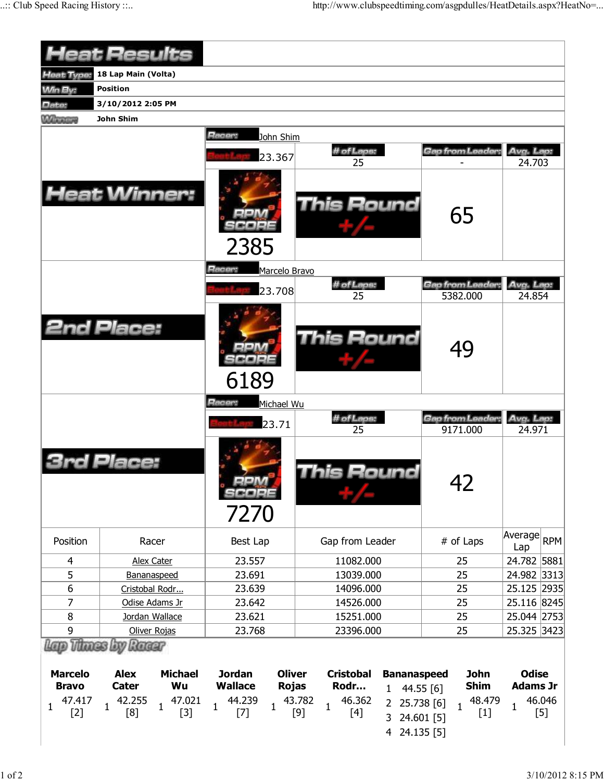|                                          | <b>Heat Results</b>                                                                                           |                                                                                                           |                                                                                                         |                                                                   |                                                |
|------------------------------------------|---------------------------------------------------------------------------------------------------------------|-----------------------------------------------------------------------------------------------------------|---------------------------------------------------------------------------------------------------------|-------------------------------------------------------------------|------------------------------------------------|
| Heat Type:                               | 18 Lap Main (Volta)                                                                                           |                                                                                                           |                                                                                                         |                                                                   |                                                |
| <b>Win By:</b>                           | <b>Position</b>                                                                                               |                                                                                                           |                                                                                                         |                                                                   |                                                |
| Date:                                    | 3/10/2012 2:05 PM                                                                                             |                                                                                                           |                                                                                                         |                                                                   |                                                |
| <b>Winning</b>                           | John Shim                                                                                                     |                                                                                                           |                                                                                                         |                                                                   |                                                |
|                                          |                                                                                                               | <b>Racer:</b>                                                                                             |                                                                                                         |                                                                   |                                                |
|                                          |                                                                                                               | John Shim                                                                                                 |                                                                                                         |                                                                   |                                                |
|                                          |                                                                                                               | 23.367                                                                                                    | # of Laps:<br>25                                                                                        | Gap from Leader:                                                  | Avg. Lap:<br>24.703                            |
|                                          | <b>Heat Winner:</b>                                                                                           | 2385                                                                                                      | <b>This Round</b>                                                                                       | 65                                                                |                                                |
|                                          |                                                                                                               | Racer:<br>Marcelo Bravo                                                                                   |                                                                                                         |                                                                   |                                                |
|                                          |                                                                                                               | 23.708                                                                                                    | # of Laps:<br>25                                                                                        | Gap from Leader:<br>5382.000                                      | Avg. Lap:<br>24.854                            |
|                                          | 2nd Place:                                                                                                    | 6189                                                                                                      | <b>This Round</b>                                                                                       | 49                                                                |                                                |
|                                          |                                                                                                               | Racer:<br>Michael Wu<br>23.71                                                                             | # of Laps:<br>25                                                                                        | <b>Gap from Leader:</b><br>9171.000                               | Avg. Lap:<br>24.971                            |
|                                          | Place:                                                                                                        | 7270                                                                                                      | his Round                                                                                               | 42                                                                |                                                |
| Position                                 | Racer                                                                                                         | Best Lap                                                                                                  | Gap from Leader                                                                                         | # of Laps                                                         | Average<br><b>RPM</b><br>Lap                   |
| 4                                        | <b>Alex Cater</b>                                                                                             | 23.557                                                                                                    | 11082.000                                                                                               | 25                                                                | 24.782 5881                                    |
| 5                                        | Bananaspeed                                                                                                   | 23.691                                                                                                    | 13039.000                                                                                               | 25                                                                | 24.982 3313                                    |
| 6                                        | Cristobal Rodr                                                                                                | 23.639                                                                                                    | 14096.000                                                                                               | 25                                                                | 25.125 2935                                    |
| 7                                        | Odise Adams Jr                                                                                                | 23.642                                                                                                    | 14526.000                                                                                               | 25                                                                | 25.116 8245                                    |
| 8                                        | Jordan Wallace                                                                                                | 23.621                                                                                                    | 15251.000                                                                                               | 25                                                                | 25.044 2753                                    |
| 9                                        | Oliver Rojas                                                                                                  | 23.768                                                                                                    | 23396.000                                                                                               | 25                                                                | 25.325 3423                                    |
| <b>Marcelo</b><br><b>Bravo</b><br>47.417 | Lap Thues by Racer<br><b>Alex</b><br><b>Michael</b><br>Wu<br><b>Cater</b><br>42.255<br>47.021<br>$\mathbf{1}$ | <b>Jordan</b><br><b>Oliver</b><br><b>Wallace</b><br><b>Rojas</b><br>44.239<br>$\mathbf{1}$<br>$\mathbf 1$ | <b>Cristobal</b><br><b>Bananaspeed</b><br>Rodr<br>$\mathbf{1}$<br>46.362<br>43.782<br>2 25.738 [6]<br>1 | <b>John</b><br><b>Shim</b><br>44.55 [6]<br>48.479<br>$\mathbf{1}$ | <b>Odise</b><br><b>Adams Jr</b><br>46.046<br>1 |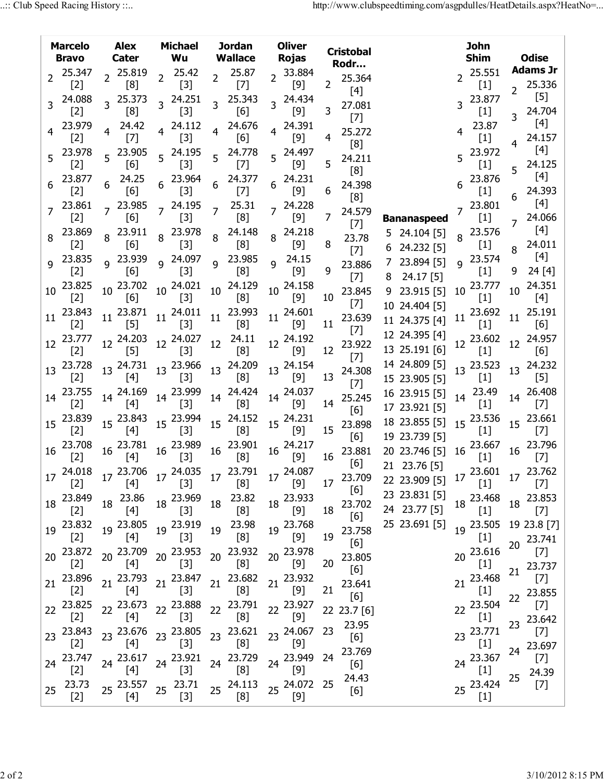|                | <b>Marcelo</b><br><b>Bravo</b> | <b>Alex</b><br>Cater   | <b>Michael</b><br>Wu          |                | <b>Jordan</b><br><b>Wallace</b> | <b>Oliver</b><br><b>Rojas</b>                    |                | <b>Cristobal</b><br>Rodr |                                     |    | <b>John</b><br><b>Shim</b>                                                                                                                                                                                                                                                                                        |                  | <b>Odise</b>                                                                                                                                                                                                                                                                                                                                                                                                                                                                                                                                                                                                                                                                                                                                                        |
|----------------|--------------------------------|------------------------|-------------------------------|----------------|---------------------------------|--------------------------------------------------|----------------|--------------------------|-------------------------------------|----|-------------------------------------------------------------------------------------------------------------------------------------------------------------------------------------------------------------------------------------------------------------------------------------------------------------------|------------------|---------------------------------------------------------------------------------------------------------------------------------------------------------------------------------------------------------------------------------------------------------------------------------------------------------------------------------------------------------------------------------------------------------------------------------------------------------------------------------------------------------------------------------------------------------------------------------------------------------------------------------------------------------------------------------------------------------------------------------------------------------------------|
| $\overline{2}$ | 25.347                         | 2 25.819               | $2^{25.42}$                   | $\overline{2}$ | 25.87                           | 2 33.884                                         |                | 25.364                   |                                     |    | $2^{25.551}$                                                                                                                                                                                                                                                                                                      |                  | <b>Adams Jr</b>                                                                                                                                                                                                                                                                                                                                                                                                                                                                                                                                                                                                                                                                                                                                                     |
|                | $[2]$                          | [8]                    | $[3]$                         |                | $[7]$                           | $[9]$                                            | $\overline{2}$ | $[4]$                    |                                     |    | $[1] % \includegraphics[width=0.9\columnwidth]{figures/fig_1a} \caption{The figure shows the number of times, and the number of times, and the number of times, and the number of times, are indicated with the number of times, and the number of times, are indicated with the number of times.} \label{fig:2}$ | $\overline{2}$   | 25.336                                                                                                                                                                                                                                                                                                                                                                                                                                                                                                                                                                                                                                                                                                                                                              |
| 3              | 24.088<br>$[2]$                | 25.373<br>[8]          | 3 24.251<br>$[3]$             | 3              | 25.343<br>[6]                   | 3 24.434<br>$[9]$                                | 3              | 27.081                   |                                     |    | 23.877<br>$[1]$                                                                                                                                                                                                                                                                                                   |                  | $[5]$<br>24.704                                                                                                                                                                                                                                                                                                                                                                                                                                                                                                                                                                                                                                                                                                                                                     |
|                | 23.979<br>$[2]$                | 24.42<br>$[7]$         | 4 24.112<br>$[3]$             |                | 4 24.676<br>[6]                 | 4 24.391<br>$[9]$                                | 4              | $[7]$<br>25.272          |                                     |    | 23.87<br>$[1]$                                                                                                                                                                                                                                                                                                    |                  | $[4]$<br>24.157                                                                                                                                                                                                                                                                                                                                                                                                                                                                                                                                                                                                                                                                                                                                                     |
| 5              | 23.978<br>$[2]$                | 23.905<br>[6]          | 5 24.195<br>$[3]$             |                | 5 24.778<br>$[7]$               | 5 24.497<br>$[9]$                                | 5              | [8]<br>24.211            |                                     |    | 5 23.972<br>$[1]$                                                                                                                                                                                                                                                                                                 |                  | $[4]$<br>24.125                                                                                                                                                                                                                                                                                                                                                                                                                                                                                                                                                                                                                                                                                                                                                     |
|                | 23.877<br>$[2]$                | 24.25<br>[6]           | 6 23.964<br>$[3]$             | 6              | 24.377<br>$[7]$                 | 24.231<br>$[9]$                                  | 6              | [8]<br>24.398            |                                     |    | $6^{23.876}$<br>$[1]$                                                                                                                                                                                                                                                                                             |                  | $[4]$<br>24.393                                                                                                                                                                                                                                                                                                                                                                                                                                                                                                                                                                                                                                                                                                                                                     |
|                | 23.861<br>$[2]$                | 7 23.985<br>$[6]$      | $7^{24.195}$<br>$[3]$         | $\overline{7}$ | 25.31<br>[8]                    | 7 24.228<br>$[9]$                                | 7              | [8]<br>24.579            | <b>Bananaspeed</b>                  |    | $7^{23.801}$<br>[1]                                                                                                                                                                                                                                                                                               | 6                | [4]<br>24.066                                                                                                                                                                                                                                                                                                                                                                                                                                                                                                                                                                                                                                                                                                                                                       |
| 8              | 23.869<br>$[2]$                | 8 23.911<br>[6]        | 8 23.978<br>$[3]$             | 8              | 24.148<br>[8]                   | 8 24.218<br>$[9]$                                | 8              | $[7]$<br>23.78           | 5 24.104 [5]                        |    | 8 23.576<br>$[1]$                                                                                                                                                                                                                                                                                                 | 7                | [4]<br>24.011                                                                                                                                                                                                                                                                                                                                                                                                                                                                                                                                                                                                                                                                                                                                                       |
| $\mathsf{Q}$   | 23.835<br>$[2]$                | q 23.939<br>[6]        | g 24.097<br>$[3]$             | 9              | 23.985<br>[8]                   | 24.15<br>$\mathbf{q}$<br>$[9]$                   | 9              | $[7]$<br>23.886          | 6 24.232 [5]<br>23.894 [5]          |    | <sup>9</sup> 23.574                                                                                                                                                                                                                                                                                               | 8<br>9           | $[4]$<br>24[4]                                                                                                                                                                                                                                                                                                                                                                                                                                                                                                                                                                                                                                                                                                                                                      |
| 10             | 23.825                         | 10 23.702              | 10 24.021                     | 10             | 24.129                          | 10 24.158                                        |                | $[7]$<br>23.845          | $24.17$ [5]<br>8<br>23.915 [5]<br>9 |    | $[1]$<br>10 23.777                                                                                                                                                                                                                                                                                                | 10               | 24.351                                                                                                                                                                                                                                                                                                                                                                                                                                                                                                                                                                                                                                                                                                                                                              |
|                | $[2]$                          | [6]                    | $[3]$                         |                | [8]                             | $[9]$                                            | 10             | $[7]$                    | 10 24.404 [5]                       |    | $[1]$                                                                                                                                                                                                                                                                                                             |                  | $[4]$                                                                                                                                                                                                                                                                                                                                                                                                                                                                                                                                                                                                                                                                                                                                                               |
| 11             | 23.843<br>$[2]$                | $11^{23.871}$<br>$[5]$ | $11^{24.011}$<br>[3]          | 11             | 23.993<br>[8]                   | $11^{24.601}$<br>[9]                             | 11             | 23.639<br>$[7]$          | 11 24.375 [4]<br>12 24.395 [4]      | 11 | 23.692<br>$[1]$                                                                                                                                                                                                                                                                                                   | 11               | 25.191<br>[6]                                                                                                                                                                                                                                                                                                                                                                                                                                                                                                                                                                                                                                                                                                                                                       |
|                | 12 23.777<br>$[2]$             | 12 24.203<br>$[5]$     | $12^{24.027}$<br>$[3]$        | 12             | 24.11<br>[8]                    | 12 24.192<br>$[9]$                               | 12             | 23.922<br>$[7]$          | 13 25.191 [6]                       |    | 12 23.602<br>$[1]$                                                                                                                                                                                                                                                                                                | 12 <sup>12</sup> | 24.957<br>[6]                                                                                                                                                                                                                                                                                                                                                                                                                                                                                                                                                                                                                                                                                                                                                       |
|                | 13 23.728<br>$[2]$             | $13^{24.731}$<br>$[4]$ | 13 23.966<br>$[3]$            | 13             | 24.209<br>[8]                   | 13 24.154<br>$[9]$                               | 13             | 24.308<br>$[7]$          | 14 24.809 [5]<br>15 23.905 [5]      |    | 13 23.523<br>$[1]$                                                                                                                                                                                                                                                                                                | 13 <sup>13</sup> | 24.232<br>$[5]$                                                                                                                                                                                                                                                                                                                                                                                                                                                                                                                                                                                                                                                                                                                                                     |
| 14             | 23.755<br>$[2]$                | 14 24.169<br>[4]       | 14 23.999<br>$[3]$            |                | 14 24.424<br>[8]                | 14 24.037<br>$[9]$                               | 14             | 25.245<br>[6]            | 16 23.915 [5]<br>17 23.921 [5]      |    | 14 23.49<br>$[1]$                                                                                                                                                                                                                                                                                                 |                  | 14 26.408<br>$[7]$                                                                                                                                                                                                                                                                                                                                                                                                                                                                                                                                                                                                                                                                                                                                                  |
|                | 15 23.839<br>$[2]$             | 15 23.843<br>[4]       | 15 23.994<br>$[3]$            |                | 15 24.152<br>[8]                | 15 24.231<br>$[9]$                               | 15             | 23.898                   | 18 23.855 [5]                       | 15 | 23.536<br>$[1]$                                                                                                                                                                                                                                                                                                   | 15 <sup>1</sup>  | 23.661<br>$[7]$                                                                                                                                                                                                                                                                                                                                                                                                                                                                                                                                                                                                                                                                                                                                                     |
|                | 16 23.708<br>$[2]$             | 16 23.781<br>$[4]$     | 16 23.989<br>$[3]$            |                | 16 23.901<br>[8]                | 16 24.217<br>$[9]$                               | 16             | [6]<br>23.881            | 19 23.739 [5]<br>20 23.746 [5]      |    | $16\frac{23.667}{5}$<br>$[1]$                                                                                                                                                                                                                                                                                     | $16\,$           | 23.796<br>$[7]$                                                                                                                                                                                                                                                                                                                                                                                                                                                                                                                                                                                                                                                                                                                                                     |
|                | $17^{24.018}$<br>$[2]$         | $[4]$                  | $1'$ [3]                      |                | [8]                             | 17 23.706 17 24.035 17 23.791 17 24.087<br>$[9]$ | 17             | [6]<br>23.709            | 21 23.76 [5]<br>22 23.909 [5]       |    | $17\begin{array}{l}\n 23.601 \\ 17\begin{array}{l}\n 23.762\n \end{array}\n \end{array}$<br>$[1]$                                                                                                                                                                                                                 |                  | $\left[ 7\right]$                                                                                                                                                                                                                                                                                                                                                                                                                                                                                                                                                                                                                                                                                                                                                   |
|                | 18 23.849<br>$[2]$             | 18 23.86<br>[4]        | 18 23.969<br>$[3]$            | 18             | 23.82<br>[8]                    | 18 23.933<br>$[9]$                               | 18             | [6]<br>23.702            | 23 23.831 [5]<br>24 23.77 [5]       |    | 18 23.468                                                                                                                                                                                                                                                                                                         |                  | 18 23.853<br>$[7]$                                                                                                                                                                                                                                                                                                                                                                                                                                                                                                                                                                                                                                                                                                                                                  |
|                | 19 23.832<br>$[2]$             | 19 23.805<br>$[4]$     | 19 23.919<br>$[3]$            | 19             | 23.98<br>[8]                    | 19 23.768<br>$[9]$                               | 19             | [6]<br>23.758            | 25 23.691 [5]                       |    | 19 23.505 19 23.8 [7]<br>$[1]$                                                                                                                                                                                                                                                                                    |                  |                                                                                                                                                                                                                                                                                                                                                                                                                                                                                                                                                                                                                                                                                                                                                                     |
|                | 20 23.872                      | 20 23.709              | 20 23.953                     |                | 20 23.932                       | 20 23.978                                        |                | [6]<br>23.805            |                                     | 20 | 23.616                                                                                                                                                                                                                                                                                                            | 20               | 23.741<br>$[7]$                                                                                                                                                                                                                                                                                                                                                                                                                                                                                                                                                                                                                                                                                                                                                     |
| 21             | $[2]$<br>23.896                | $[4]$<br>21 23.793     | $[3]$<br>21 23.847            |                | [8]<br>21 23.682                | $[9]$<br>21 23.932                               | 20             | [6]<br>23.641            |                                     | 21 | $\left[1\right]$<br>23.468                                                                                                                                                                                                                                                                                        | 21               | 23.737<br>$[7]$                                                                                                                                                                                                                                                                                                                                                                                                                                                                                                                                                                                                                                                                                                                                                     |
|                | $[2]$<br>22 23.825             | $[4]$<br>22 23.673     | $[3]$<br>22 23.888            |                | [8]<br>22 23.791                | $[9]$<br>22 23.927                               | 21             | [6]<br>22 23.7 [6]       |                                     | 22 | $[1]$<br>23.504                                                                                                                                                                                                                                                                                                   | 22               | 23.855<br>$[7] \centering% \includegraphics[width=1\textwidth]{images/TransY.pdf} \caption{The 3D maps of the estimators in the estimators (left) and the 1D maps of the different states. The 3D maps are shown in the right, the 3D maps are shown in the right, and the 1D maps are shown in the right, and the 1D maps are shown in the right, and the 1D maps are shown in the right, and the 1D maps are shown in the right, and the 1D maps are shown in the right, and the 1D maps are shown in the right, and the 1D maps are shown in the right, and the 1D maps are shown in the right, and the 1D maps are shown in the right, and the 1D maps are shown in the right, and the 1D maps are shown in the right, and the 1D maps are shown in the right,$ |
|                | $[2]$<br>23 23.843             | $[4]$<br>23 23.676     | $[3]$<br>23 23.805            |                | [8]<br>23 23.621                | $[9]$<br>23 24.067                               | 23             | 23.95                    |                                     |    | $[1]$<br>23 23.771                                                                                                                                                                                                                                                                                                | 23               | 23.642<br>$[7]$                                                                                                                                                                                                                                                                                                                                                                                                                                                                                                                                                                                                                                                                                                                                                     |
|                | $[2]$<br>24 23.747             | $[4]$<br>24 23.617     | $[3]$<br>24 23.921            |                | [8]<br>24 23.729                | $[9]$<br>24 23.949                               | 24             | [6]<br>23.769            |                                     |    | $[1]$<br>24 23.367                                                                                                                                                                                                                                                                                                | 24               | 23.697<br>$[7] \centering% \includegraphics[width=1\textwidth]{images/TransY.pdf} \caption{The 3D maps of the estimators in the estimators (left) and the 1D maps of the different states. The 3D maps are shown in the right, the 3D maps are shown in the right, and the 1D maps are shown in the right, and the 1D maps are shown in the right, and the 1D maps are shown in the right, and the 1D maps are shown in the right, and the 1D maps are shown in the right, and the 1D maps are shown in the right, and the 1D maps are shown in the right, and the 1D maps are shown in the right, and the 1D maps are shown in the right, and the 1D maps are shown in the right, and the 1D maps are shown in the right, and the 1D maps are shown in the right,$ |
|                | $[2]$                          | [4]                    | $[3]$                         |                | [8]                             | $[9]$                                            |                | [6]<br>24.43             |                                     |    | $[1] % \includegraphics[width=0.9\columnwidth]{figures/fig_1a} \caption{The figure shows the number of times, and the number of times, and the number of times, and the number of times, are indicated with the number of times, and the number of times, are indicated with the number of times.} \label{fig:2}$ | 25               | 24.39                                                                                                                                                                                                                                                                                                                                                                                                                                                                                                                                                                                                                                                                                                                                                               |
| 25             | 23.73<br>$[2]$                 | 25 23.557<br>[4]       | $25\frac{23.71}{12}$<br>$[3]$ |                | 25 24.113<br>[8]                | 25 24.072 25<br>$[9]$                            |                | [6]                      |                                     |    | 25 23.424<br>$[1]$                                                                                                                                                                                                                                                                                                |                  | $[7] \centering% \includegraphics[width=1.0\textwidth]{images/TrDiC-Architecture.png} \caption{The 3D (top) and the 4D (bottom) of the 3D (bottom) and the 4D (bottom) of the 3D (bottom) and the 4D (bottom) of the 3D (bottom) and the 4D (bottom) of the 3D (bottom).} \label{TrDiC-Architecture}$                                                                                                                                                                                                                                                                                                                                                                                                                                                               |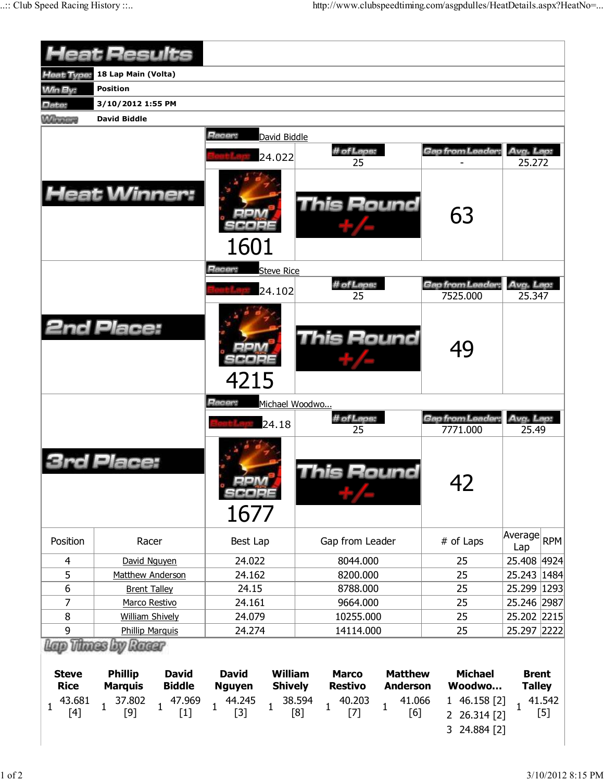|                                                              | <b>Heat Results</b>                                                                                                                                           |                                                                                                                      |                                                                                                                                                          |                                                                                             |                                                                  |
|--------------------------------------------------------------|---------------------------------------------------------------------------------------------------------------------------------------------------------------|----------------------------------------------------------------------------------------------------------------------|----------------------------------------------------------------------------------------------------------------------------------------------------------|---------------------------------------------------------------------------------------------|------------------------------------------------------------------|
| Heat Type:                                                   | 18 Lap Main (Volta)                                                                                                                                           |                                                                                                                      |                                                                                                                                                          |                                                                                             |                                                                  |
| <b>Min By:</b>                                               | <b>Position</b>                                                                                                                                               |                                                                                                                      |                                                                                                                                                          |                                                                                             |                                                                  |
| Date:                                                        | 3/10/2012 1:55 PM                                                                                                                                             |                                                                                                                      |                                                                                                                                                          |                                                                                             |                                                                  |
| <b>Winners</b>                                               | <b>David Biddle</b>                                                                                                                                           |                                                                                                                      |                                                                                                                                                          |                                                                                             |                                                                  |
|                                                              | <b>Heat Winner:</b>                                                                                                                                           | Racer:<br>David Biddle<br>24.022                                                                                     | # of Laps:<br>25<br>This Round                                                                                                                           | Gap from Leader:<br>63                                                                      | Avg. Lap:<br>25.272                                              |
|                                                              |                                                                                                                                                               | 1601<br>Racer:<br><b>Steve Rice</b>                                                                                  |                                                                                                                                                          |                                                                                             |                                                                  |
|                                                              |                                                                                                                                                               | 24.102                                                                                                               | # of Laps:                                                                                                                                               | Gap from Leader                                                                             | Avg. Lap:                                                        |
|                                                              |                                                                                                                                                               |                                                                                                                      | 25                                                                                                                                                       | 7525.000                                                                                    | 25.347                                                           |
|                                                              | <b>2nd Place:</b>                                                                                                                                             | 4215                                                                                                                 | This Round                                                                                                                                               | 49                                                                                          |                                                                  |
|                                                              |                                                                                                                                                               | Racer:<br>Michael Woodwo                                                                                             |                                                                                                                                                          |                                                                                             |                                                                  |
|                                                              |                                                                                                                                                               | 24.18                                                                                                                | # of Laps:<br>25                                                                                                                                         | Gap from Leader:<br>7771.000                                                                | Avg. Lap:<br>25.49                                               |
|                                                              | Placer                                                                                                                                                        | 1677                                                                                                                 | his Round                                                                                                                                                | 42                                                                                          |                                                                  |
| Position                                                     | Racer                                                                                                                                                         | Best Lap                                                                                                             | Gap from Leader                                                                                                                                          | # of Laps                                                                                   | Average<br><b>RPM</b><br>Lap                                     |
| 4                                                            | David Nguyen                                                                                                                                                  | 24.022                                                                                                               | 8044.000                                                                                                                                                 | 25                                                                                          | 25.408 4924                                                      |
| 5                                                            | Matthew Anderson                                                                                                                                              | 24.162                                                                                                               | 8200.000                                                                                                                                                 | 25                                                                                          | 25.243   1484                                                    |
| $\boldsymbol{6}$                                             | <b>Brent Talley</b>                                                                                                                                           | 24.15                                                                                                                | 8788.000                                                                                                                                                 | 25                                                                                          | 25.299 1293                                                      |
| 7                                                            | Marco Restivo                                                                                                                                                 | 24.161                                                                                                               | 9664.000                                                                                                                                                 | 25                                                                                          | 25.246 2987                                                      |
| 8                                                            | <b>William Shively</b>                                                                                                                                        | 24.079                                                                                                               | 10255.000                                                                                                                                                | 25                                                                                          | 25.202 2215                                                      |
| 9                                                            | <b>Phillip Marquis</b>                                                                                                                                        | 24.274                                                                                                               | 14114.000                                                                                                                                                | 25                                                                                          | 25.297 2222                                                      |
| <b>Steve</b><br><b>Rice</b><br>43.681<br>$\mathbf{1}$<br>[4] | Lap Thues by Raear<br><b>Phillip</b><br><b>David</b><br><b>Biddle</b><br><b>Marquis</b><br>37.802<br>47.969<br>$\mathbf{1}$<br>$\mathbf{1}$<br>$[9]$<br>$[1]$ | <b>William</b><br><b>David</b><br><b>Shively</b><br><b>Nguyen</b><br>44.245<br>$\mathbf{1}$<br>$\mathbf{1}$<br>$[3]$ | <b>Matthew</b><br><b>Marco</b><br><b>Restivo</b><br><b>Anderson</b><br>38.594<br>40.203<br>41.066<br>$\mathbf{1}$<br>$\mathbf{1}$<br>[8]<br>[6]<br>$[7]$ | <b>Michael</b><br>Woodwo<br>1 46.158 [2]<br>26.314 [2]<br>$\overline{2}$<br>24.884 [2]<br>3 | <b>Brent</b><br><b>Talley</b><br>41.542<br>$\mathbf{1}$<br>$[5]$ |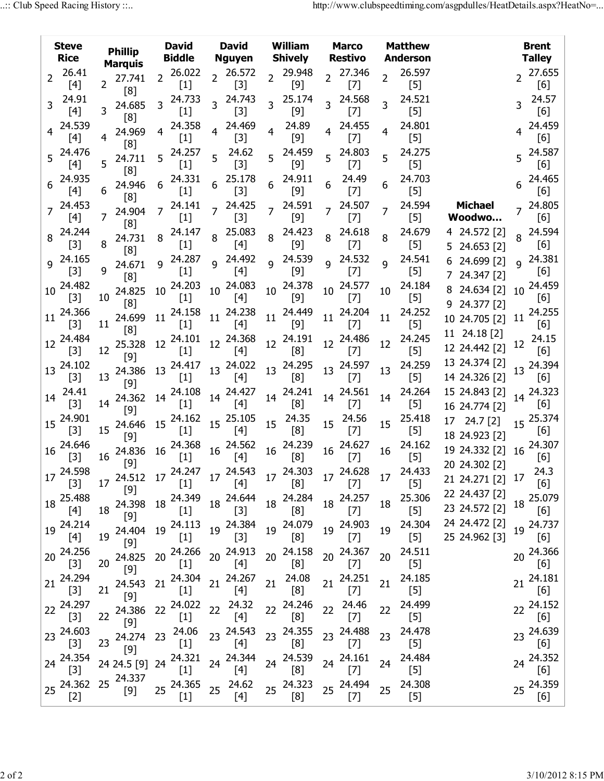|    | <b>Steve</b><br><b>Rice</b>                                                                                               | <b>David</b><br><b>Phillip</b><br><b>Biddle</b><br><b>Marquis</b> |                                                            | <b>David</b><br><b>Nguyen</b> |                                                                                                                                                                                                        | William<br><b>Shively</b> | <b>Marco</b><br><b>Restivo</b>  |                 | <b>Matthew</b><br><b>Anderson</b> |                 |                              |                | <b>Brent</b><br><b>Talley</b> |                                   |    |                               |
|----|---------------------------------------------------------------------------------------------------------------------------|-------------------------------------------------------------------|------------------------------------------------------------|-------------------------------|--------------------------------------------------------------------------------------------------------------------------------------------------------------------------------------------------------|---------------------------|---------------------------------|-----------------|-----------------------------------|-----------------|------------------------------|----------------|-------------------------------|-----------------------------------|----|-------------------------------|
| 2  | 26.41                                                                                                                     |                                                                   | 27.741                                                     | $\overline{2}$                | 26.022                                                                                                                                                                                                 |                           | 2 26.572                        | $\overline{2}$  | 29.948                            |                 | 2 27.346                     | $\overline{2}$ | 26.597                        |                                   |    | 2 27.655                      |
| 3  | [4]<br>24.91                                                                                                              | $\overline{2}$                                                    | [8]<br>24.685                                              | 3                             | $[1]$<br>24.733                                                                                                                                                                                        |                           | $[3]$<br>24.743                 | 3               | $[9]$<br>25.174                   | 3               | $[7]$<br>24.568              | 3              | $[5]$<br>24.521               |                                   | 3  | [6]<br>24.57                  |
|    | $[4]$<br>24.539<br>[4]                                                                                                    | 3<br>4                                                            | [8]<br>24.969                                              | 4                             | $[1]$<br>24.358                                                                                                                                                                                        |                           | $[3]$<br>24.469<br>$[3]$        |                 | $[9]$<br>24.89<br>$[9]$           | 4               | $[7]$<br>24.455              | 4              | $[5]$<br>24.801<br>$[5]$      |                                   |    | [6]<br>24.459<br>[6]          |
| 5  | 24.476<br>$[4]$                                                                                                           | 5                                                                 | [8]<br>24.711                                              | 5.                            | $[1]$<br>24.257<br>$[1]$                                                                                                                                                                               |                           | 24.62<br>$[3]$                  | 5               | 24.459<br>$[9]$                   |                 | $[7]$<br>5 24.803<br>$[7]$   | 5              | 24.275<br>$[5]$               |                                   |    | 24.587<br>[6]                 |
|    | 24.935<br>$[4]$                                                                                                           | 6                                                                 | [8]<br>24.946                                              |                               | 24.331<br>$[1]$                                                                                                                                                                                        |                           | 25.178<br>$[3]$                 | 6               | 24.911<br>$[9]$                   |                 | 24.49<br>$[7]$               | 6              | 24.703<br>$[5]$               |                                   |    | 24.465<br>[6]                 |
|    | 24.453<br>[4]                                                                                                             | 7                                                                 | [8]<br>24.904                                              | 7                             | 24.141<br>$[1]$                                                                                                                                                                                        |                           | 24.425<br>$[3]$                 |                 | 24.591<br>$[9]$                   | 7               | 24.507<br>$[7]$              | 7              | 24.594<br>$[5]$               | <b>Michael</b><br>Woodwo          |    | 24.805<br>[6]                 |
| 8  | 24.244<br>$[3]$                                                                                                           | 8                                                                 | [8]<br>24.731<br>[8]                                       | 8                             | 24.147<br>$[1]$                                                                                                                                                                                        | 8                         | 25.083<br>$[4]$                 | 8               | 24.423<br>$[9]$                   | 8               | 24.618<br>$[7]$              | 8              | 24.679<br>[5]                 | 4 24.572 [2]<br>5 24.653 [2]      | 8  | 24.594<br>[6]                 |
| 9  | 24.165<br>$[3]$                                                                                                           | q                                                                 | 24.671<br>[8]                                              | q                             | 24.287<br>$[1]$                                                                                                                                                                                        | q                         | 24.492<br>$[4]$                 | q               | 24.539<br>$[9]$                   | q               | 24.532<br>$[7]$              | q              | 24.541<br>$[5]$               | 6 24.699 [2]<br>7 24.347 [2]      | q  | 24.381<br>[6]                 |
| 10 | 24.482<br>$[3]$                                                                                                           | 10                                                                | 24.825<br>[8]                                              | 10                            | 24.203<br>$[1]$                                                                                                                                                                                        | 10                        | 24.083<br>$[4]$                 | 10              | 24.378<br>$[9]$                   | 10              | 24.577<br>$[7]$              | 10             | 24.184<br>$[5]$               | 8 24.634 [2]<br>9 24.377 [2]      | 10 | 24.459<br>[6]                 |
| 11 | 24.366<br>$[3]$                                                                                                           | 11                                                                | 24.699<br>[8]                                              | 11                            | 24.158<br>$[1]$                                                                                                                                                                                        | 11                        | 24.238<br>$[4]$                 | 11              | 24.449<br>$[9]$                   | 11              | 24.204<br>$[7]$              | 11             | 24.252<br>$[5]$               | 10 24.705 [2]<br>11 24.18 [2]     | 11 | 24.255<br>[6]                 |
| 12 | 24.484<br>$[3]$                                                                                                           | 12                                                                | 25.328<br>$[9]$                                            | 12                            | 24.101<br>$[1]$                                                                                                                                                                                        |                           | 12 24.368<br>$[4]$              | 12 <sup>1</sup> | 24.191<br>[8]                     |                 | 12 24.486<br>$[7]$           | 12             | 24.245<br>$[5]$               | 12 24.442 [2]                     | 12 | 24.15<br>[6]                  |
| 13 | 24.102<br>$[3]$                                                                                                           | 13                                                                | 24.386<br>$[9]$                                            | 13                            | 24.417<br>$[1]$                                                                                                                                                                                        |                           | 13 24.022<br>$[4]$              | 13              | 24.295<br>[8]                     | 13              | 24.597<br>$[7]$              | 13             | 24.259<br>$[5]$               | 13 24.374 [2]<br>14 24.326 [2]    |    | 13 24.394<br>[6]              |
| 14 | 24.41<br>$[3]$                                                                                                            | 14                                                                | 24.362<br>[9]                                              | 14                            | 24.108<br>$[1]$                                                                                                                                                                                        |                           | 14 24.427<br>$[4]$              | 14              | 24.241<br>[8]                     | 14              | 24.561<br>$[7]$              | 14             | 24.264<br>$[5]$               | 15 24.843 [2]<br>16 24.774 [2]    |    | 14 24.323<br>[6]              |
| 15 | 24.901<br>$[3]$                                                                                                           | 15                                                                | 24.646<br>$[9]$                                            | 15                            | 24.162<br>$[1]$                                                                                                                                                                                        |                           | 15 25.105<br>$[4]$              | 15              | 24.35<br>[8]                      | 15 <sub>1</sub> | 24.56<br>$[7]$               | 15             | 25.418<br>$[5]$<br>24.162     | $24.7$ [2]<br>17<br>18 24.923 [2] | 15 | 25.374<br>[6]<br>24.307       |
| 16 | 24.646<br>$[3]$                                                                                                           | 16                                                                | 24.836<br>$[9]$                                            | 16                            | 24.368<br>$[1]$                                                                                                                                                                                        |                           | 16 24.562<br>$[4]$              | 16 <sup>1</sup> | 24.239<br>[8]                     | 16              | 24.627<br>$[7]$              | 16             | $[5]$<br>24.433               | 19 24.332 [2]<br>20 24.302 [2]    | 16 | [6]<br>24.3                   |
|    | 17 24.598<br>$[3]$                                                                                                        |                                                                   | 17 24.512 17 24.247 17 24.543 17 24.303 17 24.628<br>$[9]$ |                               | $[1]$                                                                                                                                                                                                  |                           | $\frac{1}{2}$ [4]               |                 | <sup>1</sup> / [8]                |                 | $\mathbf{F}$ [7]             | 17             | $[5]$<br>25.306               | 21 24.271 [2] 17<br>22 24.437 [2] |    | [6]                           |
|    | 18 25.488<br>$[4] % \includegraphics[width=0.9\columnwidth]{figures/fig_4} \caption{A=}\ \vspace{0.8cm} \label{fig:4}} %$ | 18                                                                | 24.398<br>$[9]$                                            |                               | 18 24.349<br>$[1]$                                                                                                                                                                                     |                           | 18 24.644<br>$[3]$              |                 | 18 24.284<br>[8]                  |                 | 18 24.257<br>$[7]$           | 18             | $[5]$<br>24.304               | 23 24.572 [2]<br>24 24.472 [2]    |    | 18 25.079<br>[6]              |
|    | 19 24.214<br>$[4]$                                                                                                        | 19                                                                | 24.404<br>$[9]$                                            |                               | 19 24.113<br>$[1]$                                                                                                                                                                                     |                           | 19 24.384<br>$[3]$              |                 | 19 24.079<br>[8]                  |                 | 19 24.903<br>$[7]$           | 19             | $[5]$<br>24.511               | 25 24.962 [3]                     |    | 19 24.737<br>[6]<br>20 24.366 |
|    | 20 24.256<br>$[3]$<br>24.294                                                                                              | 20                                                                | 24.825<br>$[9]$                                            |                               | 20 24.266<br>$[1]$<br>24.304                                                                                                                                                                           |                           | 20 24.913<br>$[4]$<br>21 24.267 |                 | 20 24.158<br>[8]<br>24.08         |                 | 20 24.367<br>$[7]$<br>24.251 | 20             | $[5]$<br>24.185               |                                   |    | [6]<br>21 24.181              |
| 21 | $[3]$<br>22 24.297                                                                                                        | 21                                                                | 24.543<br>$[9]$                                            | 21                            | $[1]$<br>24.022                                                                                                                                                                                        |                           | $[4]$<br>24.32                  | 21              | [8]<br>24.246                     | 21              | $[7]$<br>24.46               | 21             | $[5]$<br>24.499               |                                   |    | [6]<br>22 24.152              |
|    | $[3]$<br>23 24.603                                                                                                        | 22                                                                | 24.386<br>$[9]$                                            | 22                            | $[1]$<br>24.06                                                                                                                                                                                         | 22                        | $[4]$<br>23 24.543              | 22              | [8]<br>24.355                     | 22              | $[7]$<br>23 24.488           | 22             | $[5]$<br>24.478               |                                   |    | [6]<br>23 24.639              |
|    | $[3]$<br>24 24 354                                                                                                        | 23                                                                | 24.274<br>$[9]$                                            | 23 <sup>2</sup>               | $[1]$                                                                                                                                                                                                  |                           | $[4]$<br>24 24.344              | 23              | [8]<br>24 24.539                  |                 | $[7]$<br>24 24.161           | 23             | $[5]$<br>24.484               |                                   |    | [6]<br>24 24.352              |
|    | $[3]$<br>25 24.362                                                                                                        | 25                                                                | 24 24.5 [9]<br>24.337                                      |                               | 24 24.321<br>$[1]$<br>24.365                                                                                                                                                                           |                           | [4]                             |                 | [8]<br>25 24.323                  |                 | $[7]$<br>25 24.494           | 24             | $[5]$<br>24.308               |                                   |    | [6]<br>25 24.359              |
|    | $[2]$                                                                                                                     |                                                                   | $[9]$                                                      | 25                            | $[1] % \includegraphics[width=0.9\columnwidth]{figures/fig_10.pdf} \caption{The figure shows the number of times, and the number of times, and the number of times, respectively.} \label{fig:time} %$ |                           | 25 24.62<br>[4]                 |                 | [8]                               |                 | $[7]$                        | 25             | $[5]$                         |                                   |    | [6]                           |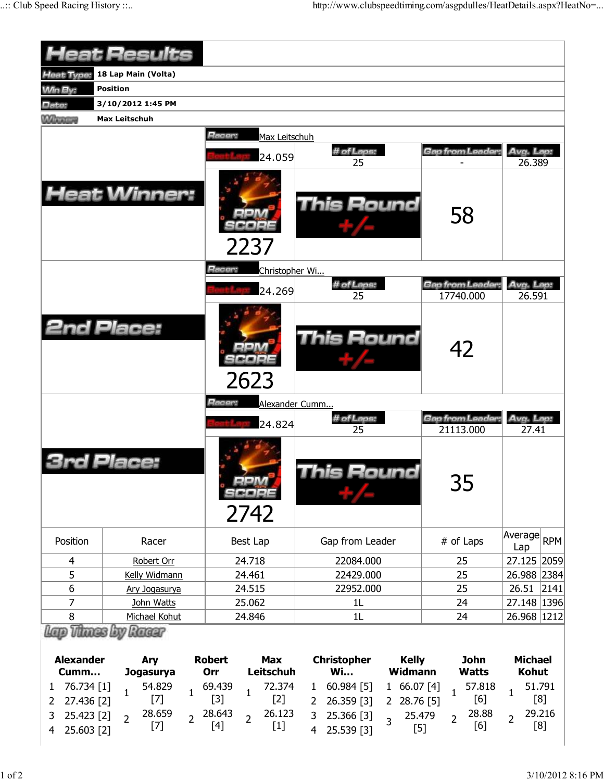| 18 Lap Main (Volta)<br>Heat Type:<br><b>Min By:</b><br><b>Position</b><br>3/10/2012 1:45 PM<br>Date:<br><b>Minney</b><br><b>Max Leitschuh</b><br>Racer:<br>Max Leitschuh<br># of Laps:<br>Gap from Leader:<br>Avg. Lap:<br>24.059<br>26.389<br>25<br><b>Heat Winner:</b><br><b>This Round</b><br>58<br>2237<br>Racer:<br>Christopher Wi<br>Avg. Lap:<br># of Laps:<br>Gap from Leader:<br>24.269<br>25<br>17740.000<br>26.591<br><b>2nd Place:</b><br>This Round<br>42<br>2623<br>Alexander Cumm<br>Racer:<br># of Laps:<br>Gap from Leader:<br>Avg. Lap:<br>24.824<br>21113.000<br>27.41<br>25<br>Place:<br>his Round<br>35<br>SCORE<br>2742<br>Average<br>Position<br>Best Lap<br>Gap from Leader<br># of Laps<br>Racer<br>Lap<br>24.718<br>Robert Orr<br>22084.000<br>25<br>4<br>5<br>24.461<br>22429.000<br>25<br>Kelly Widmann<br>6<br>24.515<br>22952.000<br>25<br>26.51<br>2141<br>Ary Jogasurya<br>7<br>24<br>27.148   1396 <br>John Watts<br>25.062<br>1L<br>8<br>Michael Kohut<br>24.846<br>1L<br>24<br>26.968 1212<br>Lap Thaes by Racer<br><b>Alexander</b><br><b>Robert</b><br><b>Max</b><br><b>Christopher</b><br><b>Kelly</b><br><b>John</b><br><b>Michael</b><br>Ary<br>Leitschuh<br><b>Wi</b><br><b>Widmann</b><br><b>Watts</b><br><b>Kohut</b><br>Cumm<br>Orr<br>Jogasurya<br>76.734 [1]<br>69.439<br>72.374<br>60.984 [5]<br>166.07[4]<br>51.791<br>54.829<br>57.818<br>1<br>$\mathbf{1}$<br>$\mathbf{1}$<br>1<br>1<br>1<br>1<br>$[2]$<br>[8]<br>$[3]$<br>[6]<br>$[7]$<br>27.436 [2]<br>26.359 [3]<br>28.76 [5]<br>$\overline{2}$<br>$\mathbf{2}$<br>2 <sup>7</sup><br>28.643<br>26.123<br>29.216<br>28.659<br>28.88<br>3<br>25.423 [2]<br>3<br>25.366 [3]<br>25.479<br>$\overline{2}$<br>$\overline{2}$<br>$\overline{2}$<br>$\overline{2}$<br>$\overline{2}$<br>$\overline{3}$<br>[8]<br>$[7]$<br>[4]<br>$[1]$<br>[6]<br>$[5]$<br>25.603 [2]<br>25.539 [3]<br>$\overline{4}$<br>$\overline{4}$ | <b>Heat Results</b> |  |             |
|---------------------------------------------------------------------------------------------------------------------------------------------------------------------------------------------------------------------------------------------------------------------------------------------------------------------------------------------------------------------------------------------------------------------------------------------------------------------------------------------------------------------------------------------------------------------------------------------------------------------------------------------------------------------------------------------------------------------------------------------------------------------------------------------------------------------------------------------------------------------------------------------------------------------------------------------------------------------------------------------------------------------------------------------------------------------------------------------------------------------------------------------------------------------------------------------------------------------------------------------------------------------------------------------------------------------------------------------------------------------------------------------------------------------------------------------------------------------------------------------------------------------------------------------------------------------------------------------------------------------------------------------------------------------------------------------------------------------------------------------------------------------------------------------------------------------------------------------------------------------------------------------------------------------|---------------------|--|-------------|
|                                                                                                                                                                                                                                                                                                                                                                                                                                                                                                                                                                                                                                                                                                                                                                                                                                                                                                                                                                                                                                                                                                                                                                                                                                                                                                                                                                                                                                                                                                                                                                                                                                                                                                                                                                                                                                                                                                                     |                     |  |             |
|                                                                                                                                                                                                                                                                                                                                                                                                                                                                                                                                                                                                                                                                                                                                                                                                                                                                                                                                                                                                                                                                                                                                                                                                                                                                                                                                                                                                                                                                                                                                                                                                                                                                                                                                                                                                                                                                                                                     |                     |  |             |
|                                                                                                                                                                                                                                                                                                                                                                                                                                                                                                                                                                                                                                                                                                                                                                                                                                                                                                                                                                                                                                                                                                                                                                                                                                                                                                                                                                                                                                                                                                                                                                                                                                                                                                                                                                                                                                                                                                                     |                     |  |             |
|                                                                                                                                                                                                                                                                                                                                                                                                                                                                                                                                                                                                                                                                                                                                                                                                                                                                                                                                                                                                                                                                                                                                                                                                                                                                                                                                                                                                                                                                                                                                                                                                                                                                                                                                                                                                                                                                                                                     |                     |  |             |
|                                                                                                                                                                                                                                                                                                                                                                                                                                                                                                                                                                                                                                                                                                                                                                                                                                                                                                                                                                                                                                                                                                                                                                                                                                                                                                                                                                                                                                                                                                                                                                                                                                                                                                                                                                                                                                                                                                                     |                     |  |             |
|                                                                                                                                                                                                                                                                                                                                                                                                                                                                                                                                                                                                                                                                                                                                                                                                                                                                                                                                                                                                                                                                                                                                                                                                                                                                                                                                                                                                                                                                                                                                                                                                                                                                                                                                                                                                                                                                                                                     |                     |  |             |
|                                                                                                                                                                                                                                                                                                                                                                                                                                                                                                                                                                                                                                                                                                                                                                                                                                                                                                                                                                                                                                                                                                                                                                                                                                                                                                                                                                                                                                                                                                                                                                                                                                                                                                                                                                                                                                                                                                                     |                     |  |             |
|                                                                                                                                                                                                                                                                                                                                                                                                                                                                                                                                                                                                                                                                                                                                                                                                                                                                                                                                                                                                                                                                                                                                                                                                                                                                                                                                                                                                                                                                                                                                                                                                                                                                                                                                                                                                                                                                                                                     |                     |  |             |
|                                                                                                                                                                                                                                                                                                                                                                                                                                                                                                                                                                                                                                                                                                                                                                                                                                                                                                                                                                                                                                                                                                                                                                                                                                                                                                                                                                                                                                                                                                                                                                                                                                                                                                                                                                                                                                                                                                                     |                     |  |             |
|                                                                                                                                                                                                                                                                                                                                                                                                                                                                                                                                                                                                                                                                                                                                                                                                                                                                                                                                                                                                                                                                                                                                                                                                                                                                                                                                                                                                                                                                                                                                                                                                                                                                                                                                                                                                                                                                                                                     |                     |  |             |
|                                                                                                                                                                                                                                                                                                                                                                                                                                                                                                                                                                                                                                                                                                                                                                                                                                                                                                                                                                                                                                                                                                                                                                                                                                                                                                                                                                                                                                                                                                                                                                                                                                                                                                                                                                                                                                                                                                                     |                     |  |             |
|                                                                                                                                                                                                                                                                                                                                                                                                                                                                                                                                                                                                                                                                                                                                                                                                                                                                                                                                                                                                                                                                                                                                                                                                                                                                                                                                                                                                                                                                                                                                                                                                                                                                                                                                                                                                                                                                                                                     |                     |  |             |
|                                                                                                                                                                                                                                                                                                                                                                                                                                                                                                                                                                                                                                                                                                                                                                                                                                                                                                                                                                                                                                                                                                                                                                                                                                                                                                                                                                                                                                                                                                                                                                                                                                                                                                                                                                                                                                                                                                                     |                     |  |             |
|                                                                                                                                                                                                                                                                                                                                                                                                                                                                                                                                                                                                                                                                                                                                                                                                                                                                                                                                                                                                                                                                                                                                                                                                                                                                                                                                                                                                                                                                                                                                                                                                                                                                                                                                                                                                                                                                                                                     |                     |  | RPM         |
|                                                                                                                                                                                                                                                                                                                                                                                                                                                                                                                                                                                                                                                                                                                                                                                                                                                                                                                                                                                                                                                                                                                                                                                                                                                                                                                                                                                                                                                                                                                                                                                                                                                                                                                                                                                                                                                                                                                     |                     |  | 27.125 2059 |
|                                                                                                                                                                                                                                                                                                                                                                                                                                                                                                                                                                                                                                                                                                                                                                                                                                                                                                                                                                                                                                                                                                                                                                                                                                                                                                                                                                                                                                                                                                                                                                                                                                                                                                                                                                                                                                                                                                                     |                     |  | 26.988 2384 |
|                                                                                                                                                                                                                                                                                                                                                                                                                                                                                                                                                                                                                                                                                                                                                                                                                                                                                                                                                                                                                                                                                                                                                                                                                                                                                                                                                                                                                                                                                                                                                                                                                                                                                                                                                                                                                                                                                                                     |                     |  |             |
|                                                                                                                                                                                                                                                                                                                                                                                                                                                                                                                                                                                                                                                                                                                                                                                                                                                                                                                                                                                                                                                                                                                                                                                                                                                                                                                                                                                                                                                                                                                                                                                                                                                                                                                                                                                                                                                                                                                     |                     |  |             |
|                                                                                                                                                                                                                                                                                                                                                                                                                                                                                                                                                                                                                                                                                                                                                                                                                                                                                                                                                                                                                                                                                                                                                                                                                                                                                                                                                                                                                                                                                                                                                                                                                                                                                                                                                                                                                                                                                                                     |                     |  |             |
|                                                                                                                                                                                                                                                                                                                                                                                                                                                                                                                                                                                                                                                                                                                                                                                                                                                                                                                                                                                                                                                                                                                                                                                                                                                                                                                                                                                                                                                                                                                                                                                                                                                                                                                                                                                                                                                                                                                     |                     |  |             |
|                                                                                                                                                                                                                                                                                                                                                                                                                                                                                                                                                                                                                                                                                                                                                                                                                                                                                                                                                                                                                                                                                                                                                                                                                                                                                                                                                                                                                                                                                                                                                                                                                                                                                                                                                                                                                                                                                                                     |                     |  |             |
|                                                                                                                                                                                                                                                                                                                                                                                                                                                                                                                                                                                                                                                                                                                                                                                                                                                                                                                                                                                                                                                                                                                                                                                                                                                                                                                                                                                                                                                                                                                                                                                                                                                                                                                                                                                                                                                                                                                     |                     |  |             |
|                                                                                                                                                                                                                                                                                                                                                                                                                                                                                                                                                                                                                                                                                                                                                                                                                                                                                                                                                                                                                                                                                                                                                                                                                                                                                                                                                                                                                                                                                                                                                                                                                                                                                                                                                                                                                                                                                                                     |                     |  |             |
|                                                                                                                                                                                                                                                                                                                                                                                                                                                                                                                                                                                                                                                                                                                                                                                                                                                                                                                                                                                                                                                                                                                                                                                                                                                                                                                                                                                                                                                                                                                                                                                                                                                                                                                                                                                                                                                                                                                     |                     |  |             |